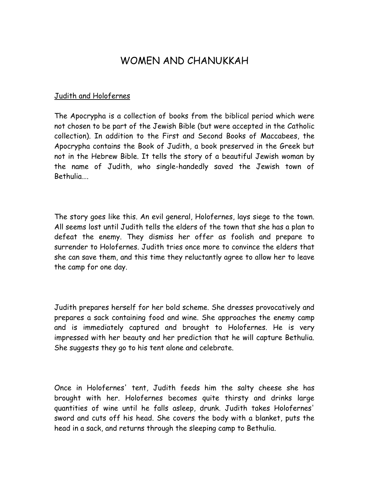## WOMEN AND CHANUKKAH

## Judith and Holofernes

The Apocrypha is a collection of books from the biblical period which were not chosen to be part of the Jewish Bible (but were accepted in the Catholic collection). In addition to the First and Second Books of Maccabees, the Apocrypha contains the Book of Judith, a book preserved in the Greek but not in the Hebrew Bible. It tells the story of a beautiful Jewish woman by the name of Judith, who single-handedly saved the Jewish town of Bethulia….

The story goes like this. An evil general, Holofernes, lays siege to the town. All seems lost until Judith tells the elders of the town that she has a plan to defeat the enemy. They dismiss her offer as foolish and prepare to surrender to Holofernes. Judith tries once more to convince the elders that she can save them, and this time they reluctantly agree to allow her to leave the camp for one day.

Judith prepares herself for her bold scheme. She dresses provocatively and prepares a sack containing food and wine. She approaches the enemy camp and is immediately captured and brought to Holofernes. He is very impressed with her beauty and her prediction that he will capture Bethulia. She suggests they go to his tent alone and celebrate.

Once in Holofernes' tent, Judith feeds him the salty cheese she has brought with her. Holofernes becomes quite thirsty and drinks large quantities of wine until he falls asleep, drunk. Judith takes Holofernes' sword and cuts off his head. She covers the body with a blanket, puts the head in a sack, and returns through the sleeping camp to Bethulia.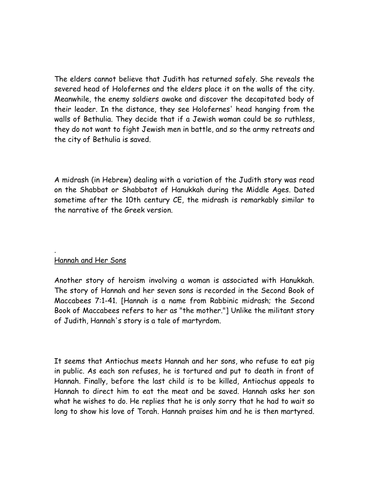The elders cannot believe that Judith has returned safely. She reveals the severed head of Holofernes and the elders place it on the walls of the city. Meanwhile, the enemy soldiers awake and discover the decapitated body of their leader. In the distance, they see Holofernes' head hanging from the walls of Bethulia. They decide that if a Jewish woman could be so ruthless, they do not want to fight Jewish men in battle, and so the army retreats and the city of Bethulia is saved.

A midrash (in Hebrew) dealing with a variation of the Judith story was read on the Shabbat or Shabbatot of Hanukkah during the Middle Ages. Dated sometime after the 10th century CE, the midrash is remarkably similar to the narrative of the Greek version.

## Hannah and Her Sons

.

Another story of heroism involving a woman is associated with Hanukkah. The story of Hannah and her seven sons is recorded in the Second Book of Maccabees 7:1-41. [Hannah is a name from Rabbinic midrash; the Second Book of Maccabees refers to her as "the mother."] Unlike the militant story of Judith, Hannah's story is a tale of martyrdom.

It seems that Antiochus meets Hannah and her sons, who refuse to eat pig in public. As each son refuses, he is tortured and put to death in front of Hannah. Finally, before the last child is to be killed, Antiochus appeals to Hannah to direct him to eat the meat and be saved. Hannah asks her son what he wishes to do. He replies that he is only sorry that he had to wait so long to show his love of Torah. Hannah praises him and he is then martyred.